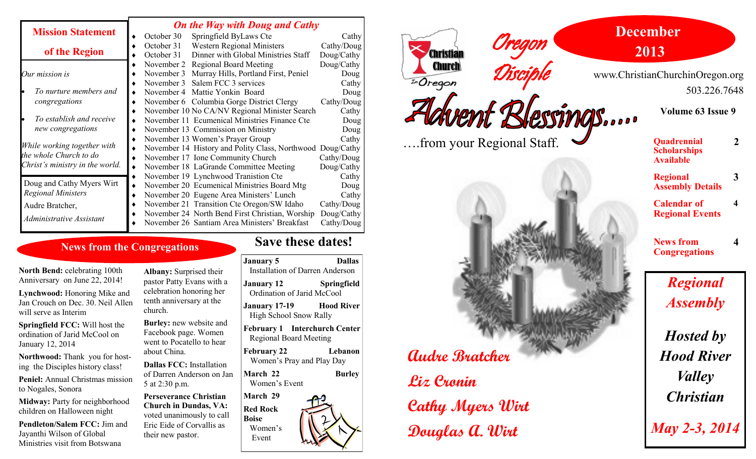|                                                           |   | <b>On the Way with Doug and Cathy</b> |                                                            |            |  |
|-----------------------------------------------------------|---|---------------------------------------|------------------------------------------------------------|------------|--|
| <b>Mission Statement</b>                                  |   | October 30                            | Springfield ByLaws Cte                                     | Cathy      |  |
|                                                           |   | October 31                            | <b>Western Regional Ministers</b>                          | Cathy/Doug |  |
| of the Region                                             |   | October 31                            | Dinner with Global Ministries Staff                        | Doug/Cathy |  |
|                                                           |   | November 2                            | <b>Regional Board Meeting</b>                              | Doug/Cathy |  |
| Our mission is                                            |   | November 3                            | Murray Hills, Portland First, Peniel                       | Doug       |  |
|                                                           |   | November 3                            | Salem FCC 3 services                                       | Cathy      |  |
| To nurture members and                                    |   | November 4 Mattie Yonkin Board        |                                                            | Doug       |  |
| congregations                                             |   |                                       | November 6 Columbia Gorge District Clergy                  | Cathy/Doug |  |
|                                                           |   |                                       | November 10 No CA/NV Regional Minister Search              | Cathy      |  |
| To establish and receive                                  |   |                                       | November 11 Ecumenical Ministries Finance Cte              | Doug       |  |
| new congregations                                         |   | November 13 Commission on Ministry    |                                                            | Doug       |  |
|                                                           |   | November 13 Women's Prayer Group      |                                                            | Cathy      |  |
| While working together with                               | ٠ |                                       | November 14 History and Polity Class, Northwood Doug/Cathy |            |  |
| the whole Church to do<br>Christ's ministry in the world. |   | November 17 Ione Community Church     |                                                            | Cathy/Doug |  |
|                                                           |   |                                       | November 18 LaGrande Committee Meeting                     | Doug/Cathy |  |
|                                                           | ٠ | November 19 Lynchwood Tranistion Cte  |                                                            | Cathy      |  |
| Doug and Cathy Myers Wirt                                 | ٠ |                                       | November 20 Ecumenical Ministries Board Mtg                | Doug       |  |
| <b>Regional Ministers</b>                                 |   |                                       | November 20 Eugene Area Ministers' Lunch                   | Cathy      |  |
| Audre Bratcher,                                           |   |                                       | November 21 Transition Cte Oregon/SW Idaho                 | Cathy/Doug |  |
| Administrative Assistant                                  |   |                                       | November 24 North Bend First Christian, Worship            | Doug/Cathy |  |
|                                                           |   |                                       | November 26 Santiam Area Ministers' Breakfast              | Cathy/Doug |  |

#### **News from the Congregations**

**North Bend:** celebrating 100th Anniversary on June 22, 2014!

**Lynchwood:** Honoring Mike and Jan Crouch on Dec. 30. Neil Allen will serve as Interim

**Springfield FCC:** Will host the ordination of Jarid McCool on January 12, 2014

**Northwood:** Thank you for hosting the Disciples history class!

**Peniel:** Annual Christmas mission to Nogales, Sonora

**Midway:** Party for neighborhood children on Halloween night

**Pendleton/Salem FCC:** Jim and Jayanthi Wilson of Global Ministries visit from Botswana

**Albany:** Surprised their pastor Patty Evans with a celebration honoring her tenth anniversary at the church.

**Burley:** new website and Facebook page. Women went to Pocatello to hear about China.

**Dallas FCC:** Installation of Darren Anderson on Jan 5 at 2:30 p.m.

**March Red Rock Perseverance Christian Church in Dundas, VA:**  voted unanimously to call Eric Eide of Corvallis as their new pastor.

## **Save these dates!**

| <b>Dallas</b><br><b>January 5</b>                                          |  |
|----------------------------------------------------------------------------|--|
| <b>Installation of Darren Anderson</b>                                     |  |
| <b>Springfield</b><br>January 12<br>Ordination of Jarid McCool             |  |
| <b>Hood River</b><br><b>January 17-19</b><br><b>High School Snow Rally</b> |  |
| <b>February 1 Interchurch Center</b><br><b>Regional Board Meeting</b>      |  |
| Lebanon<br><b>February 22</b><br>Women's Pray and Play Day                 |  |
| March 22<br><b>Burley</b><br>Women's Event                                 |  |
| March 29                                                                   |  |
| <b>Red Rock</b><br><b>Boise</b><br>Women's<br>Event                        |  |

#### **December** Oregon **2013 Christian Church** Disciple www.ChristianChurchinOregon.org  $\widehat{L_n}$ Oregon 503.226.7648 dvent Blessings.... **Volume 63 Issue 9** ….from your Regional Staff.**Quadrennial Scholarships Available Regional Assembly Details Calendar of Regional Events News from Congregations** *Regional Assembly Hosted by* **Audre Bratcher** *Hood River Valley* **Liz Cronin** *Christian* **Cathy Myers Wirt** *May 2-3, 2014* **Douglas A. Wirt**

**2**

**3**

**4**

**4**